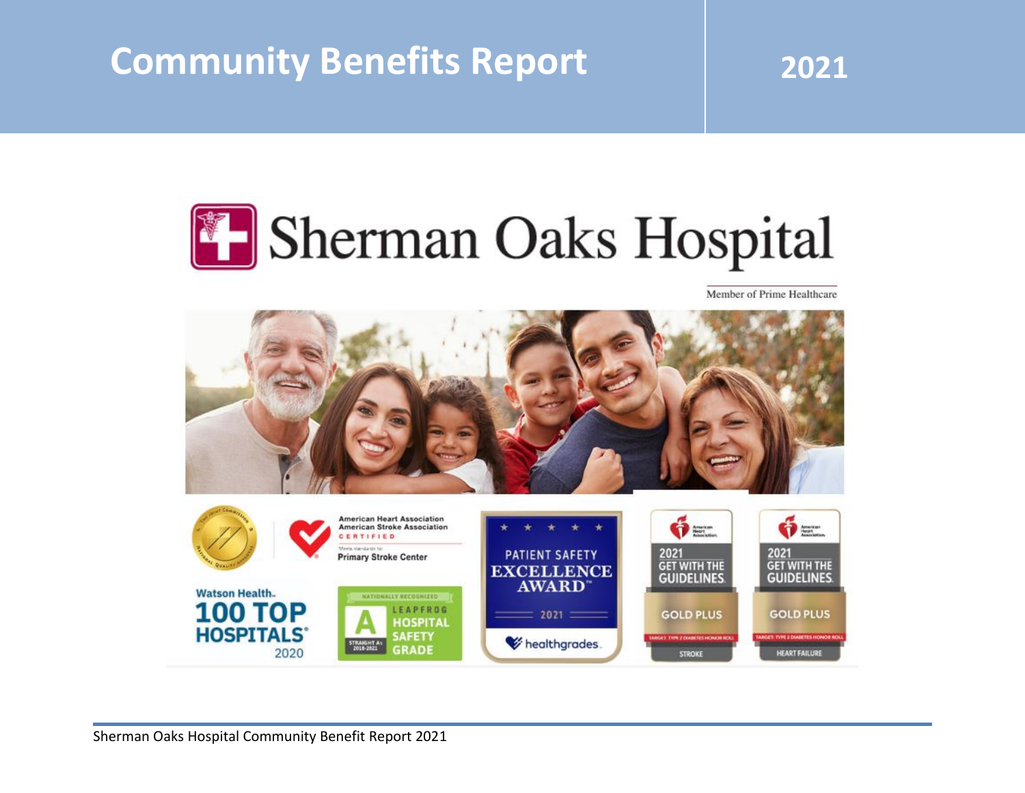## **Community Benefits Report 12021**

# Sherman Oaks Hospital

Member of Prime Healthcare

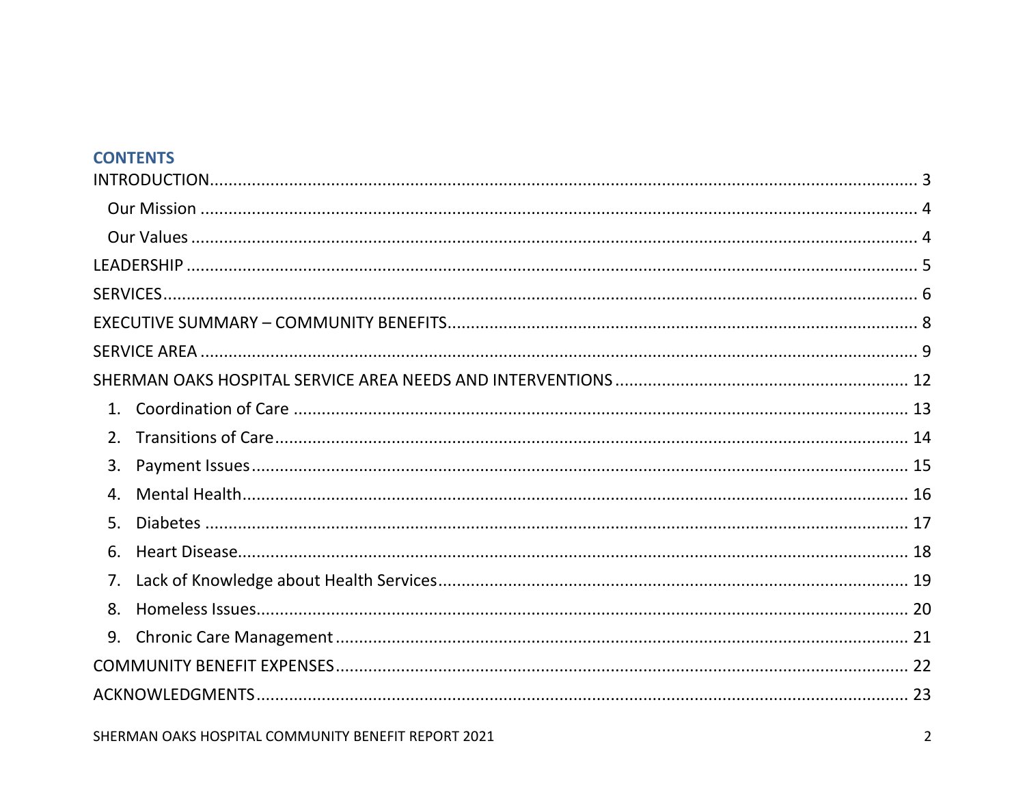#### **CONTENTS**

| 1. |  |  |  |  |  |  |  |
|----|--|--|--|--|--|--|--|
| 2. |  |  |  |  |  |  |  |
| 3. |  |  |  |  |  |  |  |
|    |  |  |  |  |  |  |  |
| 5. |  |  |  |  |  |  |  |
| 6. |  |  |  |  |  |  |  |
| 7. |  |  |  |  |  |  |  |
| 8. |  |  |  |  |  |  |  |
| 9. |  |  |  |  |  |  |  |
|    |  |  |  |  |  |  |  |
|    |  |  |  |  |  |  |  |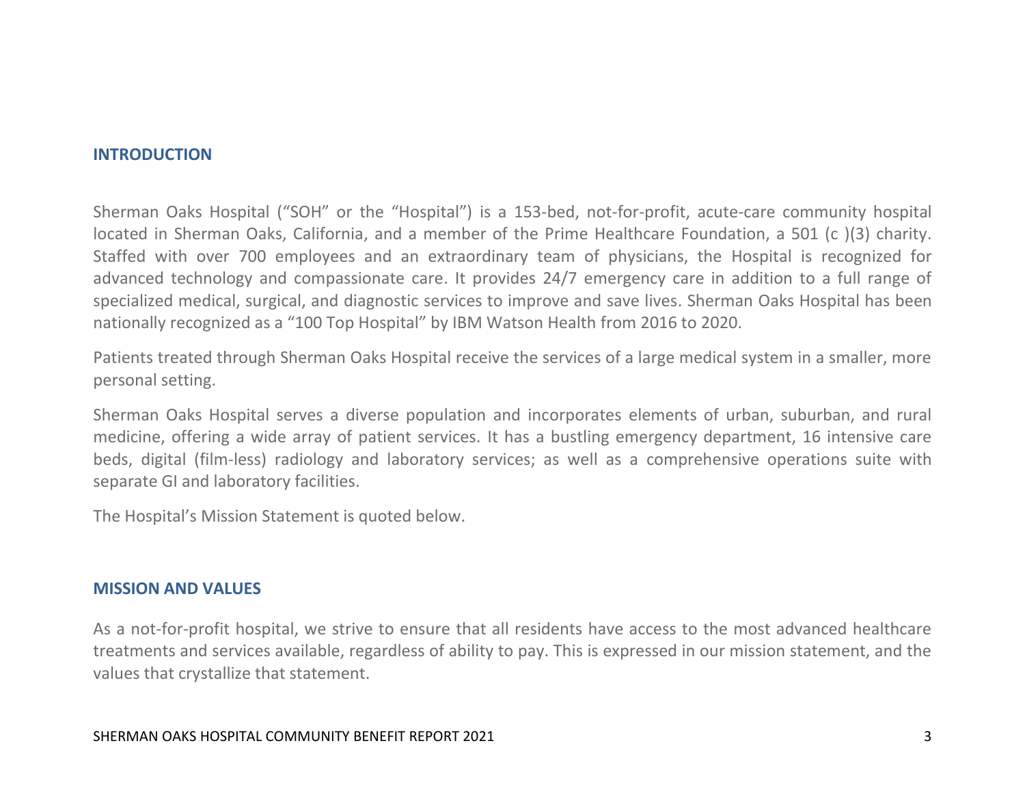#### <span id="page-2-0"></span>**INTRODUCTION**

Sherman Oaks Hospital ("SOH" or the "Hospital") is a 153-bed, not-for-profit, acute-care community hospital located in Sherman Oaks, California, and a member of the Prime Healthcare Foundation, a 501 (c )(3) charity. Staffed with over 700 employees and an extraordinary team of physicians, the Hospital is recognized for advanced technology and compassionate care. It provides 24/7 emergency care in addition to a full range of specialized medical, surgical, and diagnostic services to improve and save lives. Sherman Oaks Hospital has been nationally recognized as a "100 Top Hospital" by IBM Watson Health from 2016 to 2020.

Patients treated through Sherman Oaks Hospital receive the services of a large medical system in a smaller, more personal setting.

Sherman Oaks Hospital serves a diverse population and incorporates elements of urban, suburban, and rural medicine, offering a wide array of patient services. It has a bustling emergency department, 16 intensive care beds, digital (film-less) radiology and laboratory services; as well as a comprehensive operations suite with separate GI and laboratory facilities.

The Hospital's Mission Statement is quoted below.

#### **MISSION AND VALUES**

As a not-for-profit hospital, we strive to ensure that all residents have access to the most advanced healthcare treatments and services available, regardless of ability to pay. This is expressed in our mission statement, and the values that crystallize that statement.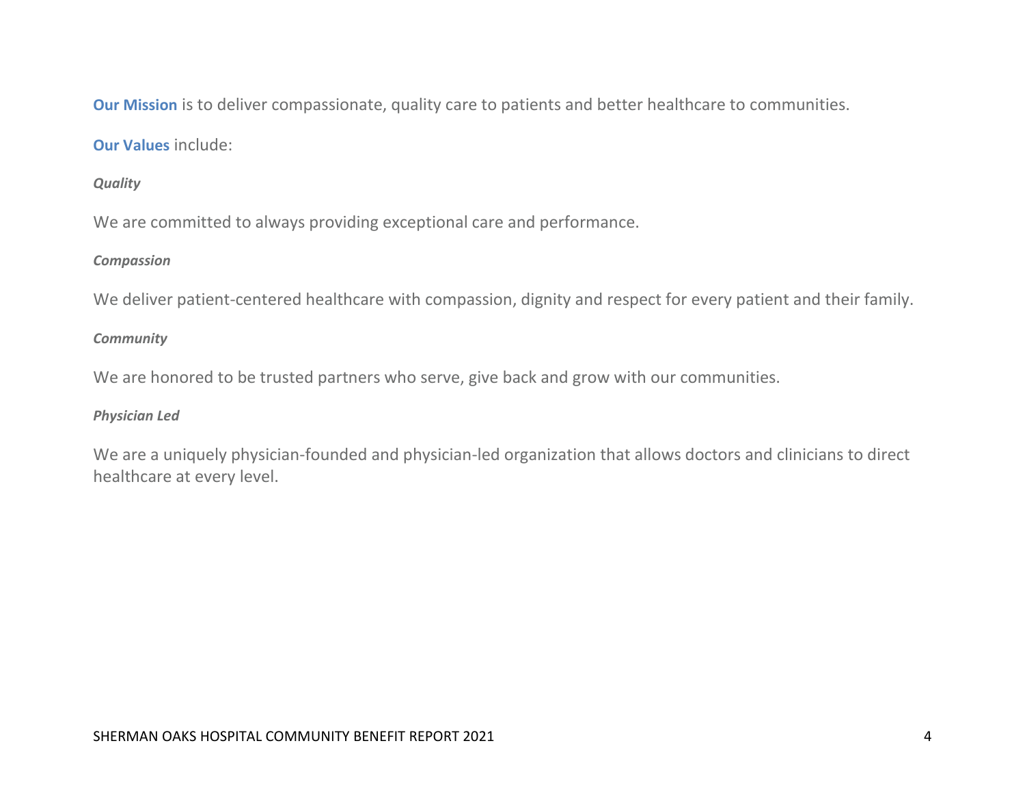<span id="page-3-0"></span>**Our Mission** is to deliver compassionate, quality care to patients and better healthcare to communities.

<span id="page-3-1"></span>**Our Values** include:

#### *Quality*

We are committed to always providing exceptional care and performance.

#### *Compassion*

We deliver patient-centered healthcare with compassion, dignity and respect for every patient and their family.

#### *Community*

We are honored to be trusted partners who serve, give back and grow with our communities.

#### *Physician Led*

We are a uniquely physician-founded and physician-led organization that allows doctors and clinicians to direct healthcare at every level.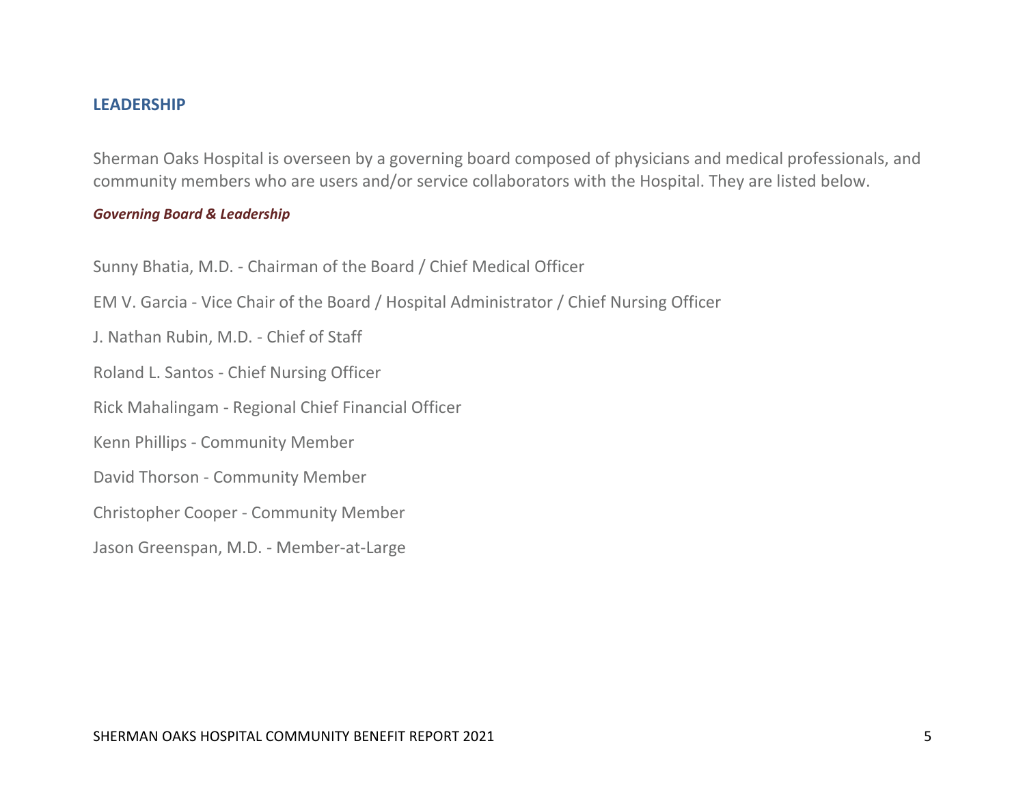#### <span id="page-4-0"></span>**LEADERSHIP**

Sherman Oaks Hospital is overseen by a governing board composed of physicians and medical professionals, and community members who are users and/or service collaborators with the Hospital. They are listed below.

#### *Governing Board & Leadership*

Sunny Bhatia, M.D. - Chairman of the Board / Chief Medical Officer

- EM V. Garcia Vice Chair of the Board / Hospital Administrator / Chief Nursing Officer
- J. Nathan Rubin, M.D. Chief of Staff
- Roland L. Santos Chief Nursing Officer
- Rick Mahalingam Regional Chief Financial Officer
- Kenn Phillips Community Member
- David Thorson Community Member
- Christopher Cooper Community Member
- Jason Greenspan, M.D. Member-at-Large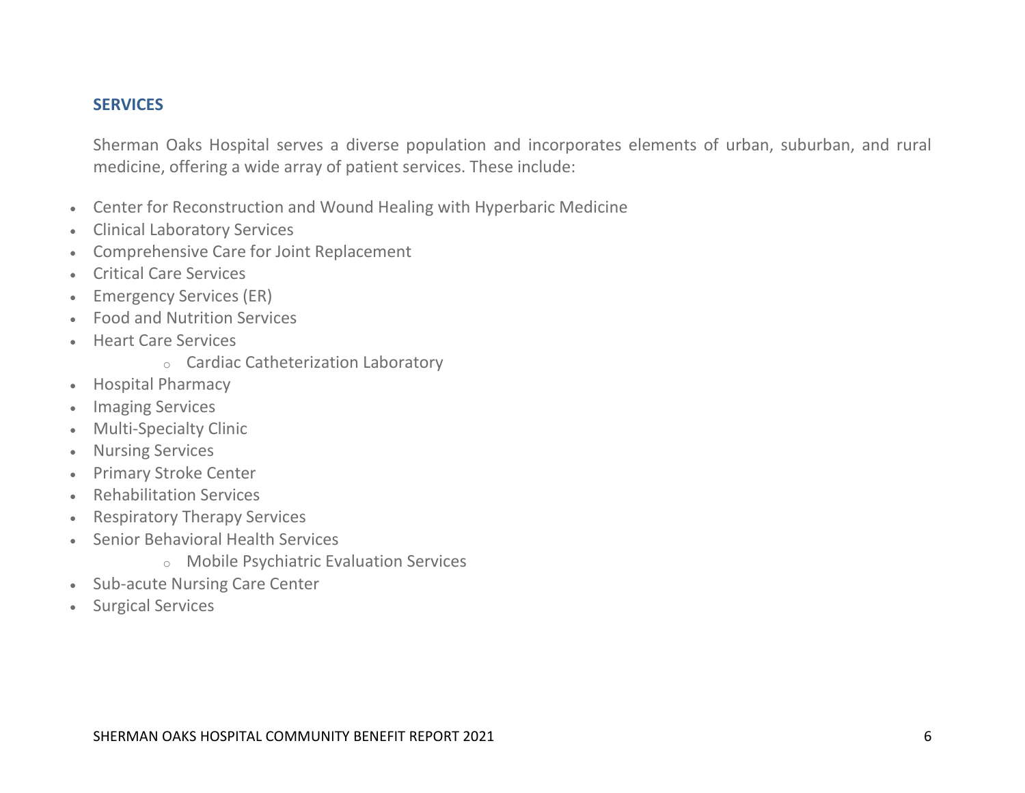#### <span id="page-5-0"></span>**SERVICES**

Sherman Oaks Hospital serves a diverse population and incorporates elements of urban, suburban, and rural medicine, offering a wide array of patient services. These include:

- Center for Reconstruction and Wound Healing with Hyperbaric Medicine
- [Clinical Laboratory Services](https://www.shermanoakshospital.org/Services/Medical-Services/Clinical-Laboratory-Services.aspx)
- [Comprehensive Care for Joint Replacement](https://www.shermanoakshospital.org/Services/Medical-Services/Comprehensive-Care-for-Joint-Replacement.aspx)
- Critical Care Services
- Emergency Services (ER)
- Food and Nutrition Services
- Heart Care Services
	- o Cardiac Catheterization Laboratory
- Hospital Pharmacy
- Imaging Services
- Multi-Specialty Clinic
- Nursing Services
- Primary Stroke Center
- Rehabilitation Services
- [Respiratory Therapy Services](https://www.shermanoakshospital.org/Services/Medical-Services/Respiratory-Therapy-Services.aspx)
- [Senior Behavioral Health Services](https://www.shermanoakshospital.org/Services/Medical-Services/Senior-Behavioral-Health-Services.aspx)
	- o Mobile Psychiatric Evaluation Services
- [Sub-acute Nursing Care Center](https://www.shermanoakshospital.org/Services/Medical-Services/Sub-Acute-Nursing-Care-Center.aspx)
- [Surgical Services](https://www.shermanoakshospital.org/Services/Medical-Services/Surgical-Services.aspx)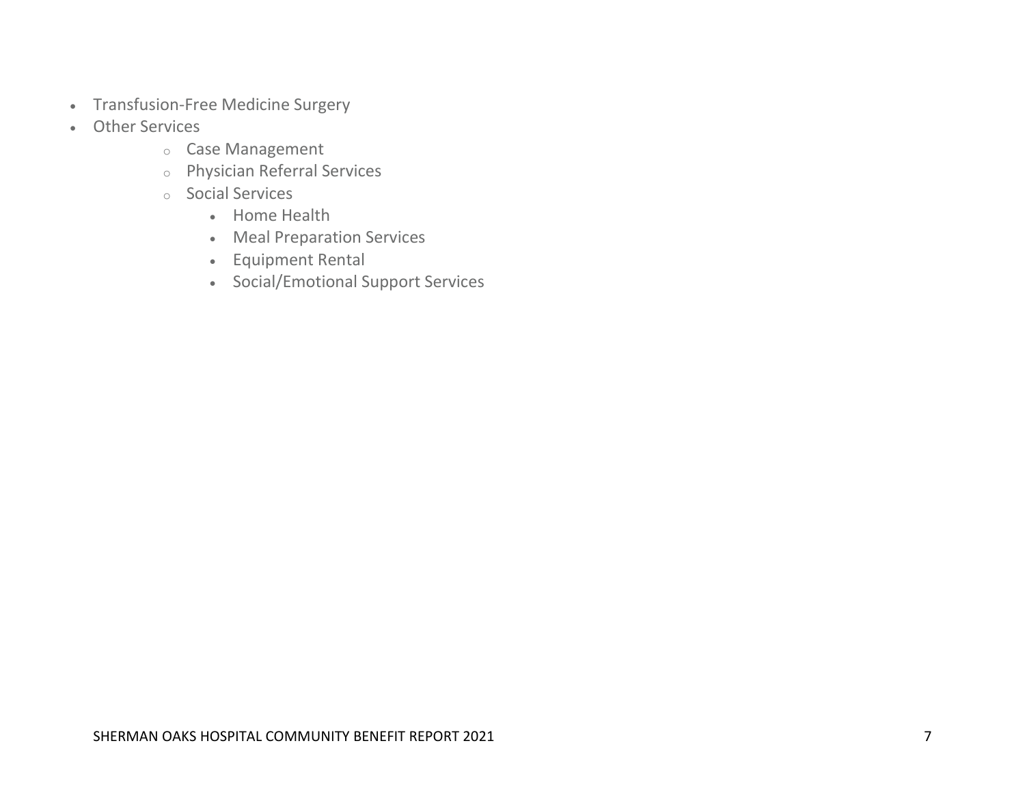- Transfusion-Free Medicine Surgery
- Other Services
	- o Case Management
	- o Physician Referral Services
	- o Social Services
		- Home Health
		- Meal Preparation Services
		- Equipment Rental
		- Social/Emotional Support Services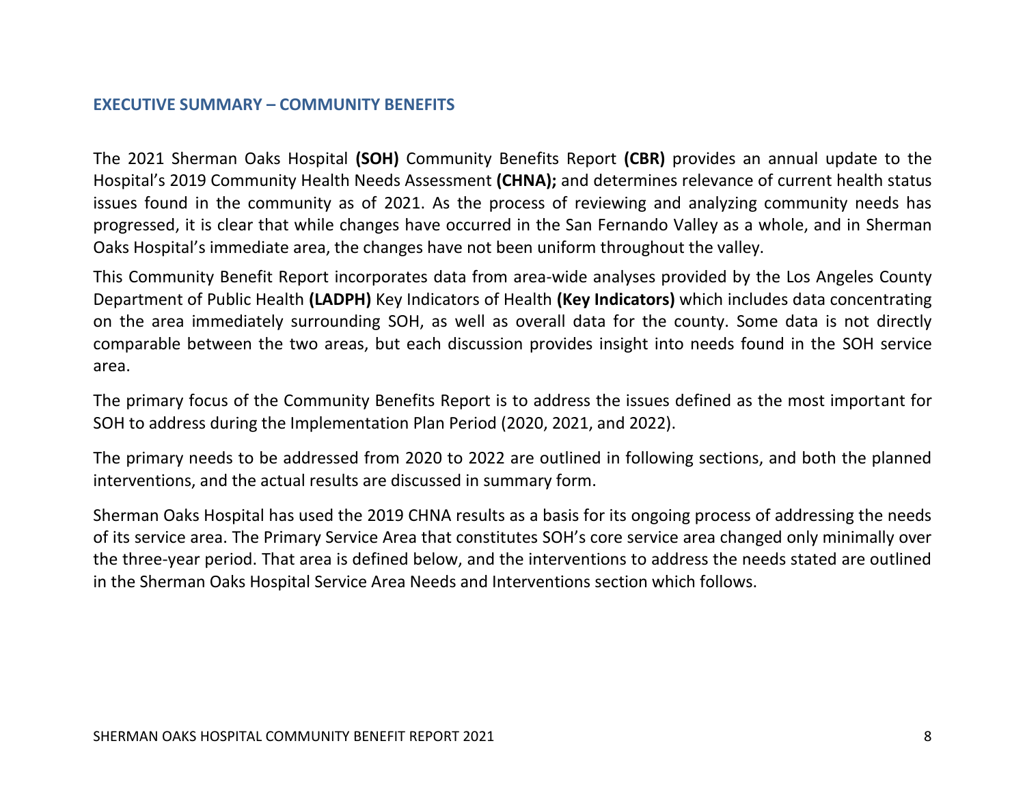#### <span id="page-7-0"></span>**EXECUTIVE SUMMARY – COMMUNITY BENEFITS**

The 2021 Sherman Oaks Hospital **(SOH)** Community Benefits Report **(CBR)** provides an annual update to the Hospital's 2019 Community Health Needs Assessment **(CHNA);** and determines relevance of current health status issues found in the community as of 2021. As the process of reviewing and analyzing community needs has progressed, it is clear that while changes have occurred in the San Fernando Valley as a whole, and in Sherman Oaks Hospital's immediate area, the changes have not been uniform throughout the valley.

This Community Benefit Report incorporates data from area-wide analyses provided by the Los Angeles County Department of Public Health **(LADPH)** Key Indicators of Health **(Key Indicators)** which includes data concentrating on the area immediately surrounding SOH, as well as overall data for the county. Some data is not directly comparable between the two areas, but each discussion provides insight into needs found in the SOH service area.

The primary focus of the Community Benefits Report is to address the issues defined as the most important for SOH to address during the Implementation Plan Period (2020, 2021, and 2022).

The primary needs to be addressed from 2020 to 2022 are outlined in following sections, and both the planned interventions, and the actual results are discussed in summary form.

Sherman Oaks Hospital has used the 2019 CHNA results as a basis for its ongoing process of addressing the needs of its service area. The Primary Service Area that constitutes SOH's core service area changed only minimally over the three-year period. That area is defined below, and the interventions to address the needs stated are outlined in the Sherman Oaks Hospital Service Area Needs and Interventions section which follows.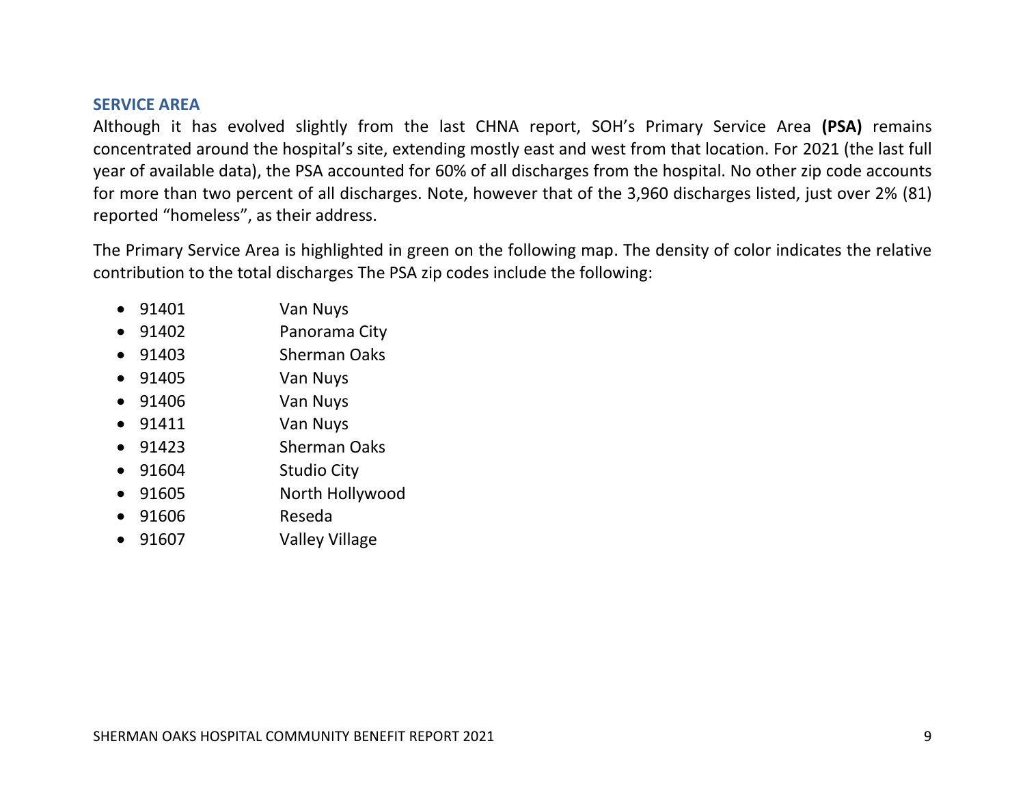#### <span id="page-8-0"></span>**SERVICE AREA**

Although it has evolved slightly from the last CHNA report, SOH's Primary Service Area **(PSA)** remains concentrated around the hospital's site, extending mostly east and west from that location. For 2021 (the last full year of available data), the PSA accounted for 60% of all discharges from the hospital. No other zip code accounts for more than two percent of all discharges. Note, however that of the 3,960 discharges listed, just over 2% (81) reported "homeless", as their address.

The Primary Service Area is highlighted in green on the following map. The density of color indicates the relative contribution to the total discharges The PSA zip codes include the following:

- 91401 Van Nuys
- 91402 Panorama City
- 91403 Sherman Oaks
- 91405 Van Nuys
- 91406 Van Nuys
- 91411 Van Nuys
- 91423 Sherman Oaks
- 91604 Studio City
- 91605 North Hollywood
- 91606 Reseda
- 91607 Valley Village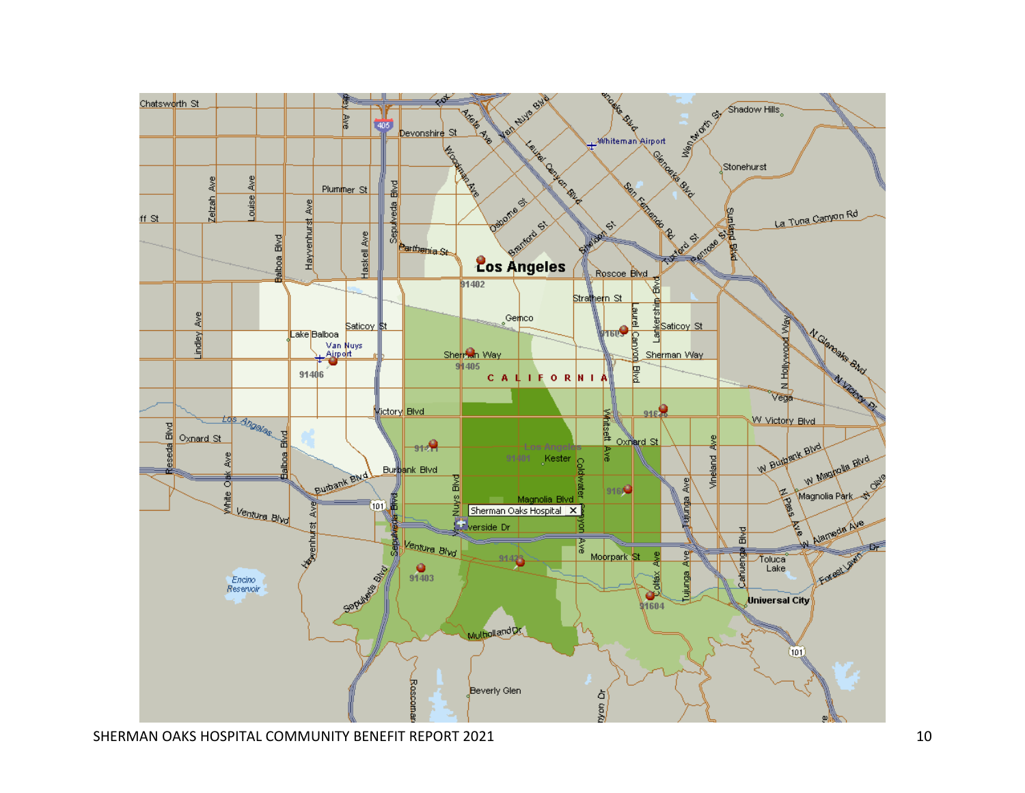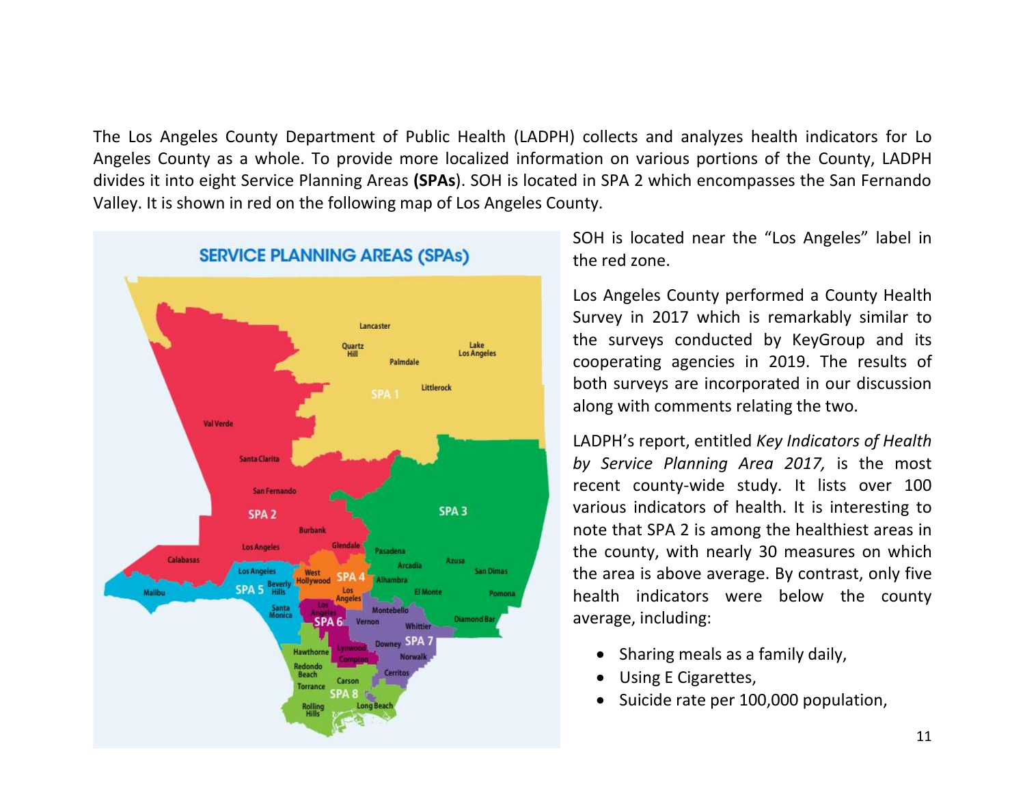The Los Angeles County Department of Public Health (LADPH) collects and analyzes health indicators for Lo Angeles County as a whole. To provide more localized information on various portions of the County, LADPH divides it into eight Service Planning Areas **(SPAs**). SOH is located in SPA 2 which encompasses the San Fernando Valley. It is shown in red on the following map of Los Angeles County.



### **SERVICE PLANNING AREAS (SPAs)**

SOH is located near the "Los Angeles" label in the red zone.

Los Angeles County performed a County Health Survey in 2017 which is remarkably similar to the surveys conducted by KeyGroup and its cooperating agencies in 2019. The results of both surveys are incorporated in our discussion along with comments relating the two.

LADPH's report, entitled *Key Indicators of Health by Service Planning Area 2017,* is the most recent county-wide study. It lists over 100 various indicators of health. It is interesting to note that SPA 2 is among the healthiest areas in the county, with nearly 30 measures on which the area is above average. By contrast, only five health indicators were below the county average, including:

- Sharing meals as a family daily,
- Using E Cigarettes,
- Suicide rate per 100,000 population,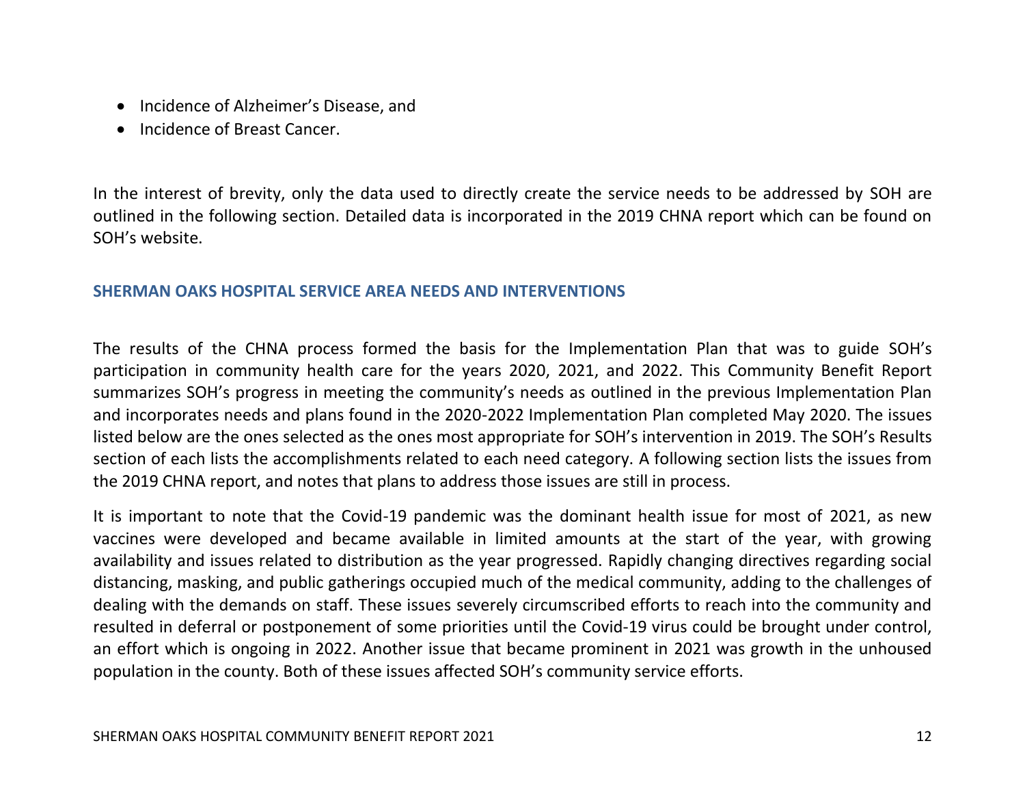- Incidence of Alzheimer's Disease, and
- Incidence of Breast Cancer.

In the interest of brevity, only the data used to directly create the service needs to be addressed by SOH are outlined in the following section. Detailed data is incorporated in the 2019 CHNA report which can be found on SOH's website.

#### <span id="page-11-0"></span>**SHERMAN OAKS HOSPITAL SERVICE AREA NEEDS AND INTERVENTIONS**

The results of the CHNA process formed the basis for the Implementation Plan that was to guide SOH's participation in community health care for the years 2020, 2021, and 2022. This Community Benefit Report summarizes SOH's progress in meeting the community's needs as outlined in the previous Implementation Plan and incorporates needs and plans found in the 2020-2022 Implementation Plan completed May 2020. The issues listed below are the ones selected as the ones most appropriate for SOH's intervention in 2019. The SOH's Results section of each lists the accomplishments related to each need category. A following section lists the issues from the 2019 CHNA report, and notes that plans to address those issues are still in process.

It is important to note that the Covid-19 pandemic was the dominant health issue for most of 2021, as new vaccines were developed and became available in limited amounts at the start of the year, with growing availability and issues related to distribution as the year progressed. Rapidly changing directives regarding social distancing, masking, and public gatherings occupied much of the medical community, adding to the challenges of dealing with the demands on staff. These issues severely circumscribed efforts to reach into the community and resulted in deferral or postponement of some priorities until the Covid-19 virus could be brought under control, an effort which is ongoing in 2022. Another issue that became prominent in 2021 was growth in the unhoused population in the county. Both of these issues affected SOH's community service efforts.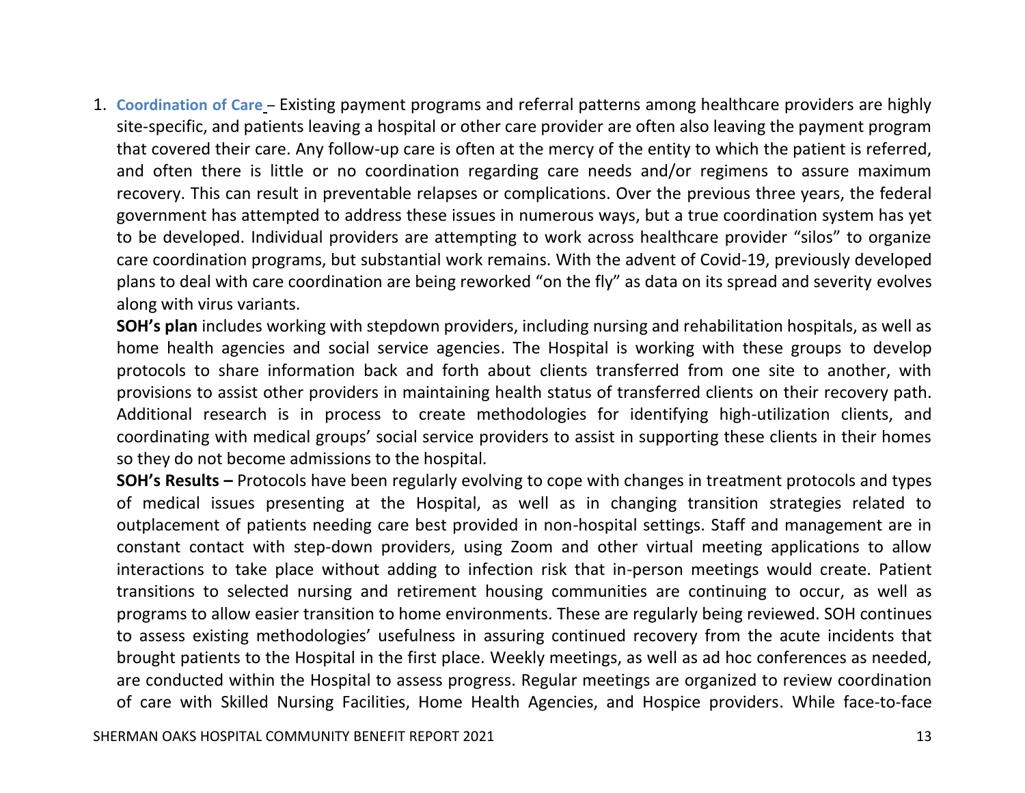<span id="page-12-0"></span>1. **Coordination of Care** – Existing payment programs and referral patterns among healthcare providers are highly site-specific, and patients leaving a hospital or other care provider are often also leaving the payment program that covered their care. Any follow-up care is often at the mercy of the entity to which the patient is referred, and often there is little or no coordination regarding care needs and/or regimens to assure maximum recovery. This can result in preventable relapses or complications. Over the previous three years, the federal government has attempted to address these issues in numerous ways, but a true coordination system has yet to be developed. Individual providers are attempting to work across healthcare provider "silos" to organize care coordination programs, but substantial work remains. With the advent of Covid-19, previously developed plans to deal with care coordination are being reworked "on the fly" as data on its spread and severity evolves along with virus variants.

**SOH's plan** includes working with stepdown providers, including nursing and rehabilitation hospitals, as well as home health agencies and social service agencies. The Hospital is working with these groups to develop protocols to share information back and forth about clients transferred from one site to another, with provisions to assist other providers in maintaining health status of transferred clients on their recovery path. Additional research is in process to create methodologies for identifying high-utilization clients, and coordinating with medical groups' social service providers to assist in supporting these clients in their homes so they do not become admissions to the hospital.

**SOH's Results –** Protocols have been regularly evolving to cope with changes in treatment protocols and types of medical issues presenting at the Hospital, as well as in changing transition strategies related to outplacement of patients needing care best provided in non-hospital settings. Staff and management are in constant contact with step-down providers, using Zoom and other virtual meeting applications to allow interactions to take place without adding to infection risk that in-person meetings would create. Patient transitions to selected nursing and retirement housing communities are continuing to occur, as well as programs to allow easier transition to home environments. These are regularly being reviewed. SOH continues to assess existing methodologies' usefulness in assuring continued recovery from the acute incidents that brought patients to the Hospital in the first place. Weekly meetings, as well as ad hoc conferences as needed, are conducted within the Hospital to assess progress. Regular meetings are organized to review coordination of care with Skilled Nursing Facilities, Home Health Agencies, and Hospice providers. While face-to-face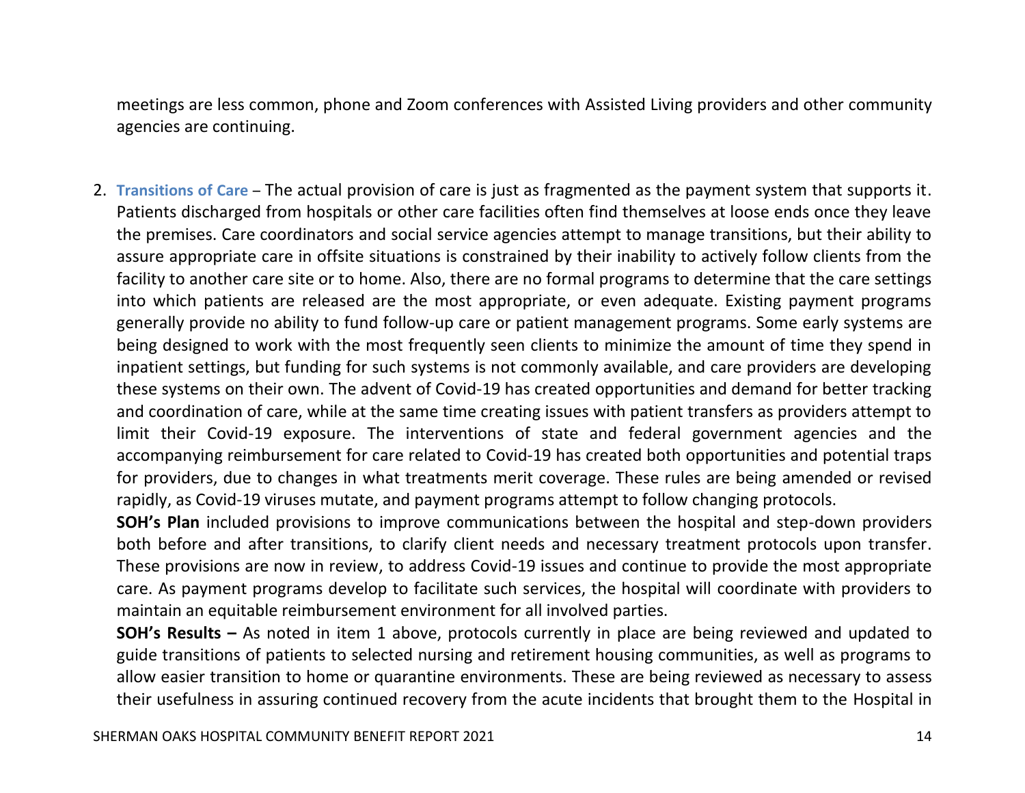meetings are less common, phone and Zoom conferences with Assisted Living providers and other community agencies are continuing.

<span id="page-13-0"></span>2. **Transitions of Care** – The actual provision of care is just as fragmented as the payment system that supports it. Patients discharged from hospitals or other care facilities often find themselves at loose ends once they leave the premises. Care coordinators and social service agencies attempt to manage transitions, but their ability to assure appropriate care in offsite situations is constrained by their inability to actively follow clients from the facility to another care site or to home. Also, there are no formal programs to determine that the care settings into which patients are released are the most appropriate, or even adequate. Existing payment programs generally provide no ability to fund follow-up care or patient management programs. Some early systems are being designed to work with the most frequently seen clients to minimize the amount of time they spend in inpatient settings, but funding for such systems is not commonly available, and care providers are developing these systems on their own. The advent of Covid-19 has created opportunities and demand for better tracking and coordination of care, while at the same time creating issues with patient transfers as providers attempt to limit their Covid-19 exposure. The interventions of state and federal government agencies and the accompanying reimbursement for care related to Covid-19 has created both opportunities and potential traps for providers, due to changes in what treatments merit coverage. These rules are being amended or revised rapidly, as Covid-19 viruses mutate, and payment programs attempt to follow changing protocols.

**SOH's Plan** included provisions to improve communications between the hospital and step-down providers both before and after transitions, to clarify client needs and necessary treatment protocols upon transfer. These provisions are now in review, to address Covid-19 issues and continue to provide the most appropriate care. As payment programs develop to facilitate such services, the hospital will coordinate with providers to maintain an equitable reimbursement environment for all involved parties.

**SOH's Results –** As noted in item 1 above, protocols currently in place are being reviewed and updated to guide transitions of patients to selected nursing and retirement housing communities, as well as programs to allow easier transition to home or quarantine environments. These are being reviewed as necessary to assess their usefulness in assuring continued recovery from the acute incidents that brought them to the Hospital in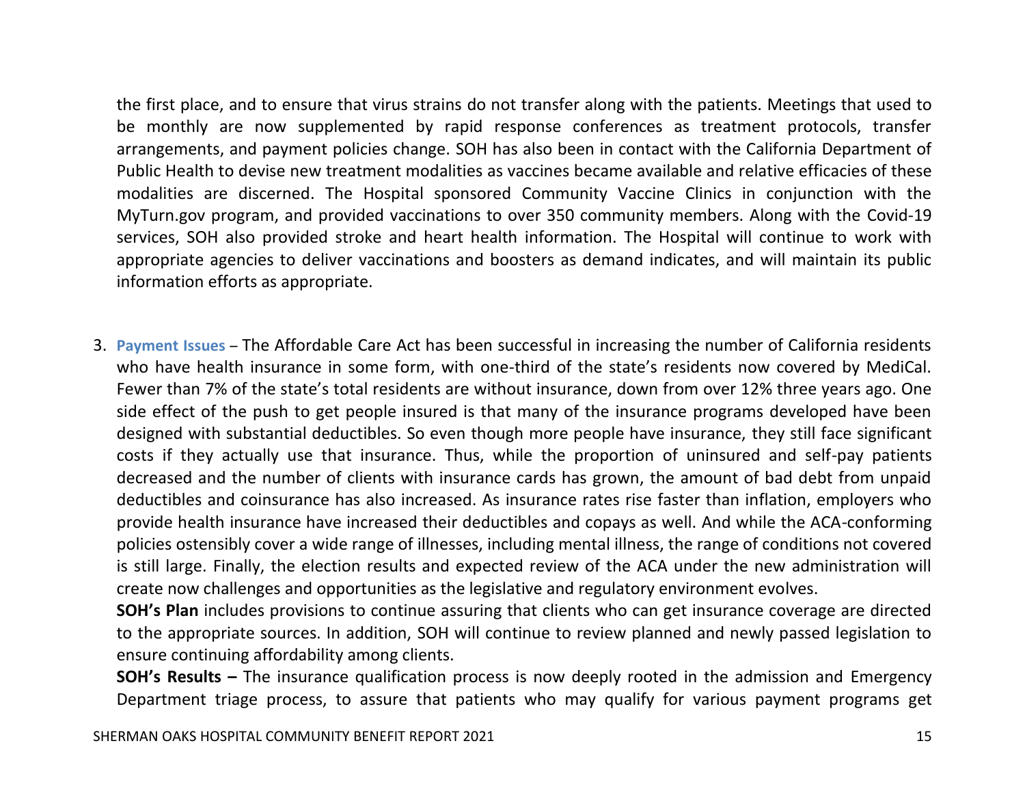the first place, and to ensure that virus strains do not transfer along with the patients. Meetings that used to be monthly are now supplemented by rapid response conferences as treatment protocols, transfer arrangements, and payment policies change. SOH has also been in contact with the California Department of Public Health to devise new treatment modalities as vaccines became available and relative efficacies of these modalities are discerned. The Hospital sponsored Community Vaccine Clinics in conjunction with the MyTurn.gov program, and provided vaccinations to over 350 community members. Along with the Covid-19 services, SOH also provided stroke and heart health information. The Hospital will continue to work with appropriate agencies to deliver vaccinations and boosters as demand indicates, and will maintain its public information efforts as appropriate.

<span id="page-14-0"></span>3. **Payment Issues** – The Affordable Care Act has been successful in increasing the number of California residents who have health insurance in some form, with one-third of the state's residents now covered by MediCal. Fewer than 7% of the state's total residents are without insurance, down from over 12% three years ago. One side effect of the push to get people insured is that many of the insurance programs developed have been designed with substantial deductibles. So even though more people have insurance, they still face significant costs if they actually use that insurance. Thus, while the proportion of uninsured and self-pay patients decreased and the number of clients with insurance cards has grown, the amount of bad debt from unpaid deductibles and coinsurance has also increased. As insurance rates rise faster than inflation, employers who provide health insurance have increased their deductibles and copays as well. And while the ACA-conforming policies ostensibly cover a wide range of illnesses, including mental illness, the range of conditions not covered is still large. Finally, the election results and expected review of the ACA under the new administration will create now challenges and opportunities as the legislative and regulatory environment evolves.

**SOH's Plan** includes provisions to continue assuring that clients who can get insurance coverage are directed to the appropriate sources. In addition, SOH will continue to review planned and newly passed legislation to ensure continuing affordability among clients.

**SOH's Results –** The insurance qualification process is now deeply rooted in the admission and Emergency Department triage process, to assure that patients who may qualify for various payment programs get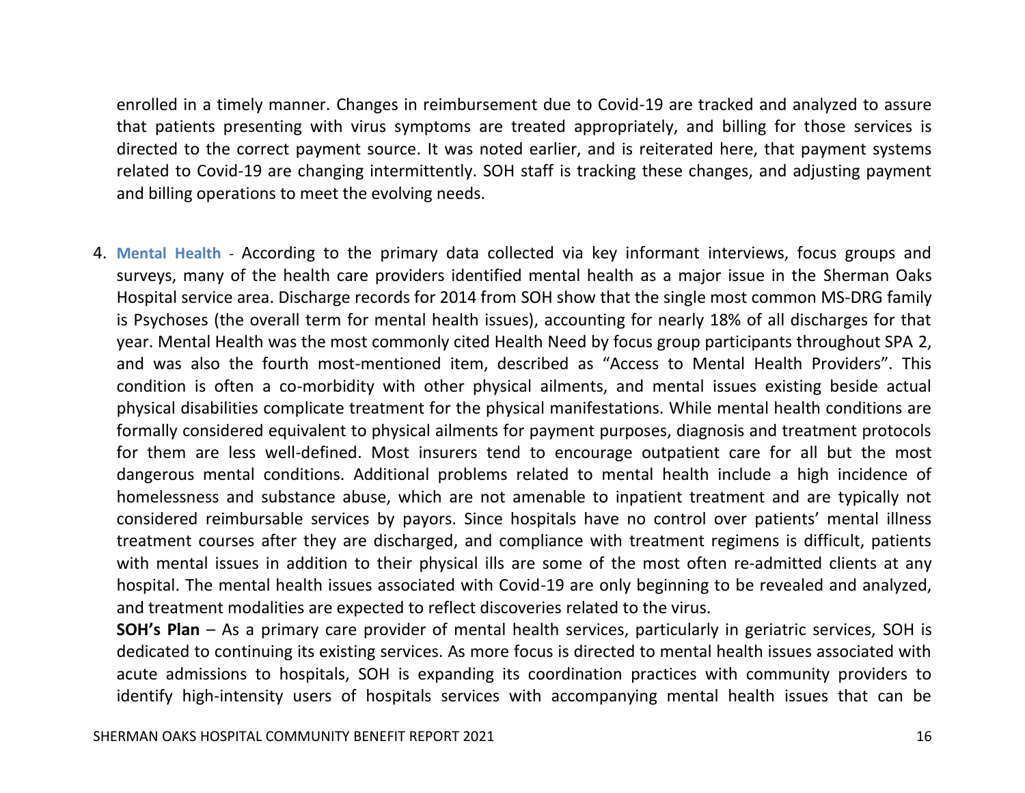enrolled in a timely manner. Changes in reimbursement due to Covid-19 are tracked and analyzed to assure that patients presenting with virus symptoms are treated appropriately, and billing for those services is directed to the correct payment source. It was noted earlier, and is reiterated here, that payment systems related to Covid-19 are changing intermittently. SOH staff is tracking these changes, and adjusting payment and billing operations to meet the evolving needs.

<span id="page-15-0"></span>4. **Mental Health** - According to the primary data collected via key informant interviews, focus groups and surveys, many of the health care providers identified mental health as a major issue in the Sherman Oaks Hospital service area. Discharge records for 2014 from SOH show that the single most common MS-DRG family is Psychoses (the overall term for mental health issues), accounting for nearly 18% of all discharges for that year. Mental Health was the most commonly cited Health Need by focus group participants throughout SPA 2, and was also the fourth most-mentioned item, described as "Access to Mental Health Providers". This condition is often a co-morbidity with other physical ailments, and mental issues existing beside actual physical disabilities complicate treatment for the physical manifestations. While mental health conditions are formally considered equivalent to physical ailments for payment purposes, diagnosis and treatment protocols for them are less well-defined. Most insurers tend to encourage outpatient care for all but the most dangerous mental conditions. Additional problems related to mental health include a high incidence of homelessness and substance abuse, which are not amenable to inpatient treatment and are typically not considered reimbursable services by payors. Since hospitals have no control over patients' mental illness treatment courses after they are discharged, and compliance with treatment regimens is difficult, patients with mental issues in addition to their physical ills are some of the most often re-admitted clients at any hospital. The mental health issues associated with Covid-19 are only beginning to be revealed and analyzed, and treatment modalities are expected to reflect discoveries related to the virus.

**SOH's Plan** – As a primary care provider of mental health services, particularly in geriatric services, SOH is dedicated to continuing its existing services. As more focus is directed to mental health issues associated with acute admissions to hospitals, SOH is expanding its coordination practices with community providers to identify high-intensity users of hospitals services with accompanying mental health issues that can be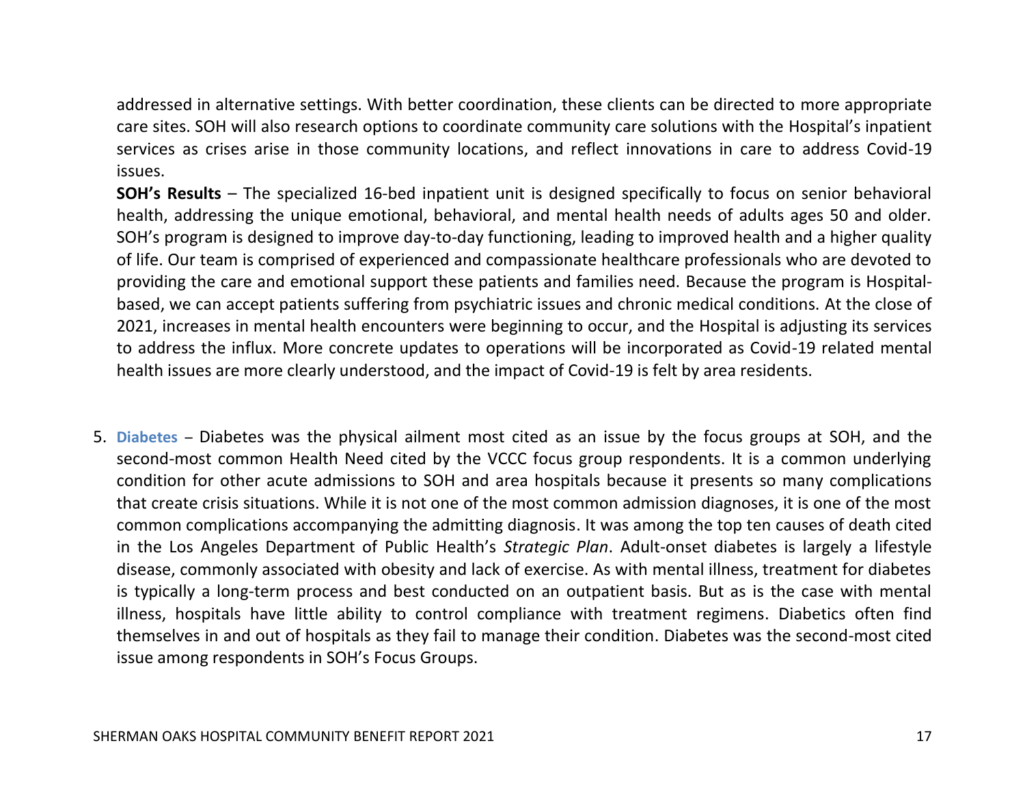addressed in alternative settings. With better coordination, these clients can be directed to more appropriate care sites. SOH will also research options to coordinate community care solutions with the Hospital's inpatient services as crises arise in those community locations, and reflect innovations in care to address Covid-19 issues.

**SOH's Results** – The specialized 16-bed inpatient unit is designed specifically to focus on senior behavioral health, addressing the unique emotional, behavioral, and mental health needs of adults ages 50 and older. SOH's program is designed to improve day-to-day functioning, leading to improved health and a higher quality of life. Our team is comprised of experienced and compassionate healthcare professionals who are devoted to providing the care and emotional support these patients and families need. Because the program is Hospitalbased, we can accept patients suffering from psychiatric issues and chronic medical conditions. At the close of 2021, increases in mental health encounters were beginning to occur, and the Hospital is adjusting its services to address the influx. More concrete updates to operations will be incorporated as Covid-19 related mental health issues are more clearly understood, and the impact of Covid-19 is felt by area residents.

<span id="page-16-0"></span>5. **Diabetes** – Diabetes was the physical ailment most cited as an issue by the focus groups at SOH, and the second-most common Health Need cited by the VCCC focus group respondents. It is a common underlying condition for other acute admissions to SOH and area hospitals because it presents so many complications that create crisis situations. While it is not one of the most common admission diagnoses, it is one of the most common complications accompanying the admitting diagnosis. It was among the top ten causes of death cited in the Los Angeles Department of Public Health's *Strategic Plan*. Adult-onset diabetes is largely a lifestyle disease, commonly associated with obesity and lack of exercise. As with mental illness, treatment for diabetes is typically a long-term process and best conducted on an outpatient basis. But as is the case with mental illness, hospitals have little ability to control compliance with treatment regimens. Diabetics often find themselves in and out of hospitals as they fail to manage their condition. Diabetes was the second-most cited issue among respondents in SOH's Focus Groups.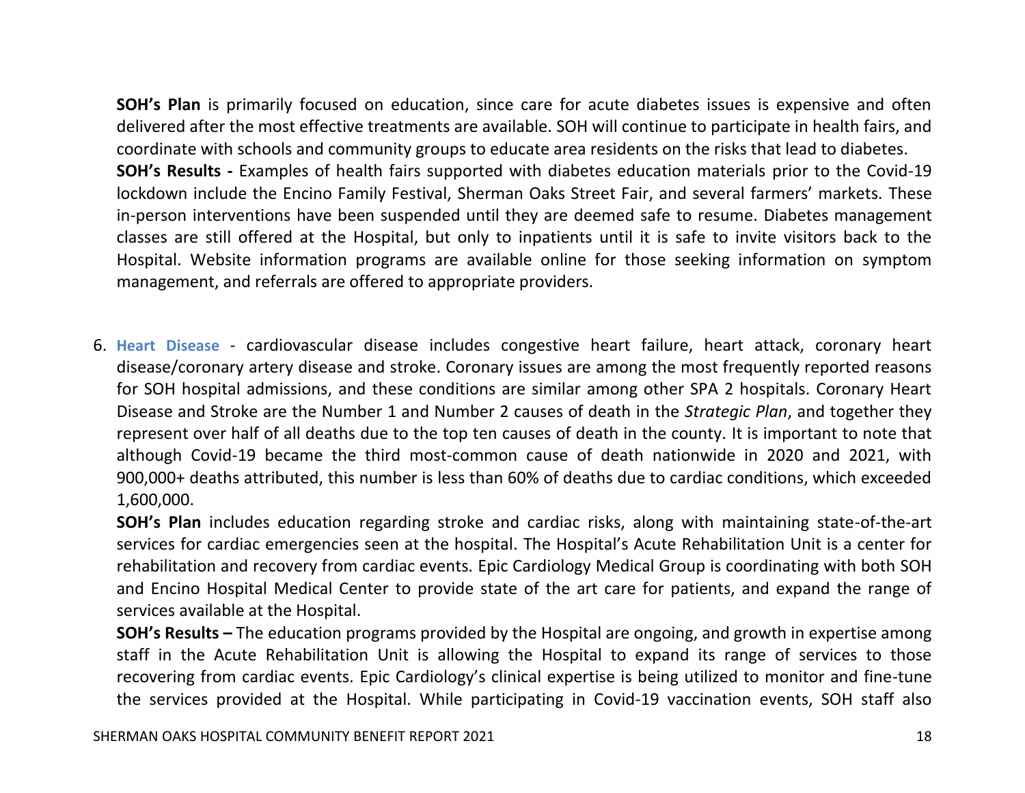**SOH's Plan** is primarily focused on education, since care for acute diabetes issues is expensive and often delivered after the most effective treatments are available. SOH will continue to participate in health fairs, and coordinate with schools and community groups to educate area residents on the risks that lead to diabetes. **SOH's Results -** Examples of health fairs supported with diabetes education materials prior to the Covid-19 lockdown include the Encino Family Festival, Sherman Oaks Street Fair, and several farmers' markets. These in-person interventions have been suspended until they are deemed safe to resume. Diabetes management classes are still offered at the Hospital, but only to inpatients until it is safe to invite visitors back to the Hospital. Website information programs are available online for those seeking information on symptom management, and referrals are offered to appropriate providers.

<span id="page-17-0"></span>6. **Heart Disease** - cardiovascular disease includes congestive heart failure, heart attack, coronary heart disease/coronary artery disease and stroke. Coronary issues are among the most frequently reported reasons for SOH hospital admissions, and these conditions are similar among other SPA 2 hospitals. Coronary Heart Disease and Stroke are the Number 1 and Number 2 causes of death in the *Strategic Plan*, and together they represent over half of all deaths due to the top ten causes of death in the county. It is important to note that although Covid-19 became the third most-common cause of death nationwide in 2020 and 2021, with 900,000+ deaths attributed, this number is less than 60% of deaths due to cardiac conditions, which exceeded 1,600,000.

**SOH's Plan** includes education regarding stroke and cardiac risks, along with maintaining state-of-the-art services for cardiac emergencies seen at the hospital. The Hospital's Acute Rehabilitation Unit is a center for rehabilitation and recovery from cardiac events. Epic Cardiology Medical Group is coordinating with both SOH and Encino Hospital Medical Center to provide state of the art care for patients, and expand the range of services available at the Hospital.

**SOH's Results –** The education programs provided by the Hospital are ongoing, and growth in expertise among staff in the Acute Rehabilitation Unit is allowing the Hospital to expand its range of services to those recovering from cardiac events. Epic Cardiology's clinical expertise is being utilized to monitor and fine-tune the services provided at the Hospital. While participating in Covid-19 vaccination events, SOH staff also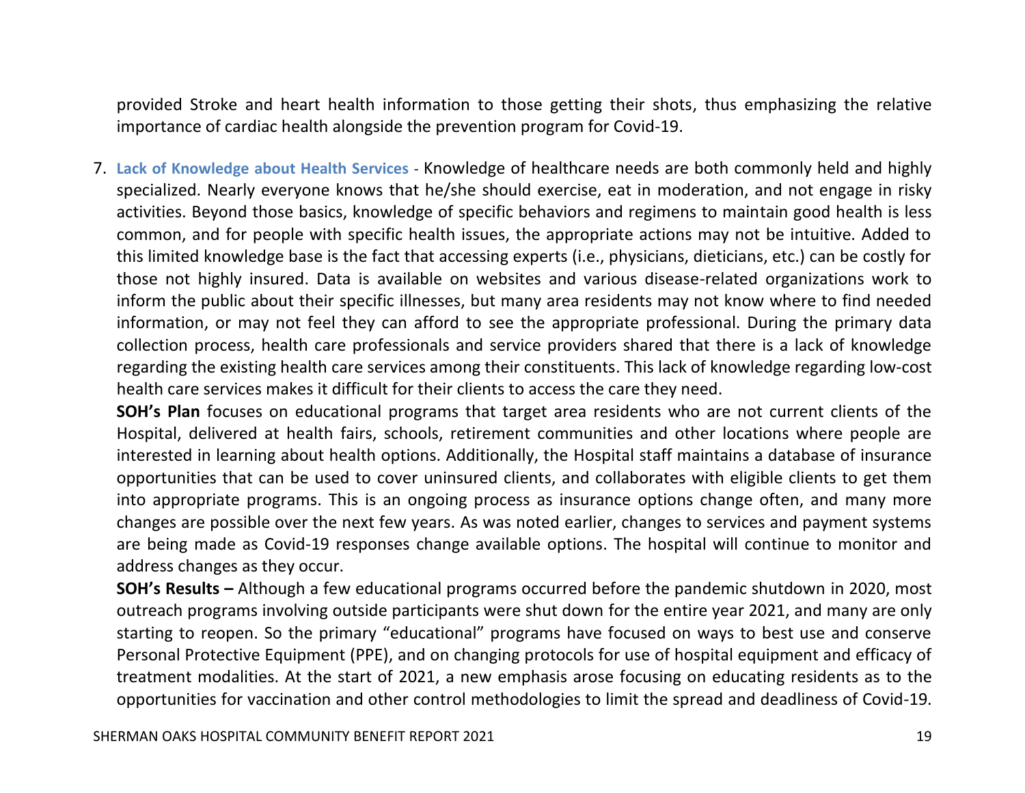provided Stroke and heart health information to those getting their shots, thus emphasizing the relative importance of cardiac health alongside the prevention program for Covid-19.

<span id="page-18-0"></span>7. **Lack of Knowledge about Health Services** - Knowledge of healthcare needs are both commonly held and highly specialized. Nearly everyone knows that he/she should exercise, eat in moderation, and not engage in risky activities. Beyond those basics, knowledge of specific behaviors and regimens to maintain good health is less common, and for people with specific health issues, the appropriate actions may not be intuitive. Added to this limited knowledge base is the fact that accessing experts (i.e., physicians, dieticians, etc.) can be costly for those not highly insured. Data is available on websites and various disease-related organizations work to inform the public about their specific illnesses, but many area residents may not know where to find needed information, or may not feel they can afford to see the appropriate professional. During the primary data collection process, health care professionals and service providers shared that there is a lack of knowledge regarding the existing health care services among their constituents. This lack of knowledge regarding low-cost health care services makes it difficult for their clients to access the care they need.

**SOH's Plan** focuses on educational programs that target area residents who are not current clients of the Hospital, delivered at health fairs, schools, retirement communities and other locations where people are interested in learning about health options. Additionally, the Hospital staff maintains a database of insurance opportunities that can be used to cover uninsured clients, and collaborates with eligible clients to get them into appropriate programs. This is an ongoing process as insurance options change often, and many more changes are possible over the next few years. As was noted earlier, changes to services and payment systems are being made as Covid-19 responses change available options. The hospital will continue to monitor and address changes as they occur.

**SOH's Results –** Although a few educational programs occurred before the pandemic shutdown in 2020, most outreach programs involving outside participants were shut down for the entire year 2021, and many are only starting to reopen. So the primary "educational" programs have focused on ways to best use and conserve Personal Protective Equipment (PPE), and on changing protocols for use of hospital equipment and efficacy of treatment modalities. At the start of 2021, a new emphasis arose focusing on educating residents as to the opportunities for vaccination and other control methodologies to limit the spread and deadliness of Covid-19.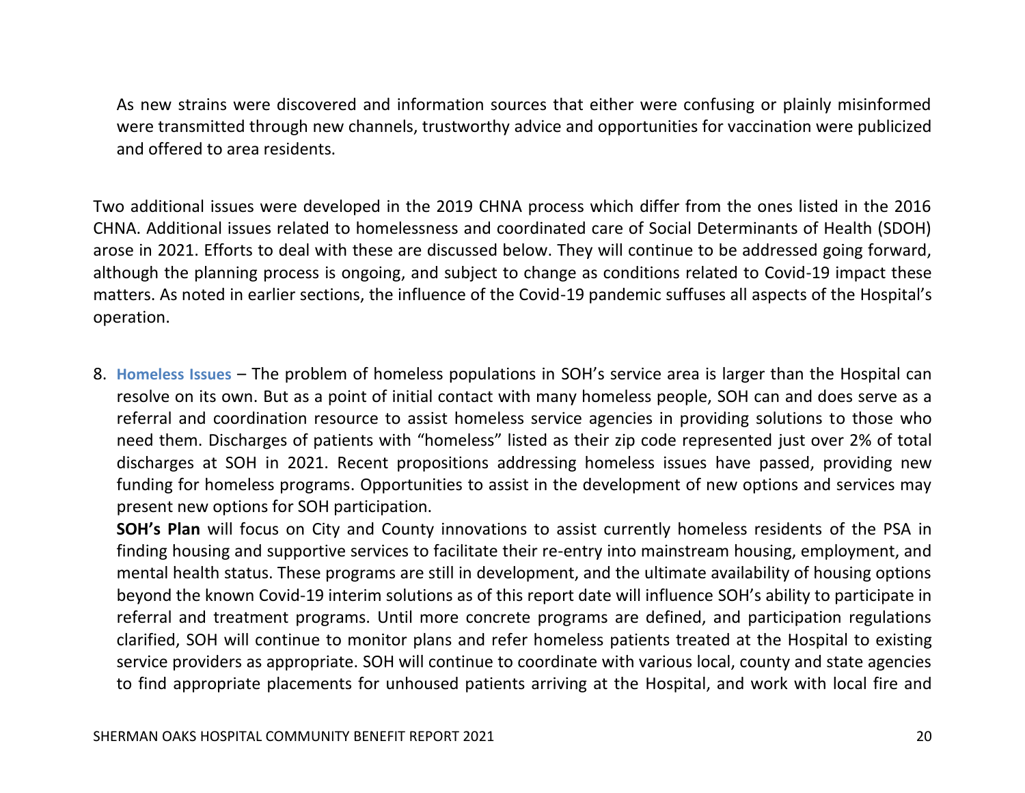As new strains were discovered and information sources that either were confusing or plainly misinformed were transmitted through new channels, trustworthy advice and opportunities for vaccination were publicized and offered to area residents.

Two additional issues were developed in the 2019 CHNA process which differ from the ones listed in the 2016 CHNA. Additional issues related to homelessness and coordinated care of Social Determinants of Health (SDOH) arose in 2021. Efforts to deal with these are discussed below. They will continue to be addressed going forward, although the planning process is ongoing, and subject to change as conditions related to Covid-19 impact these matters. As noted in earlier sections, the influence of the Covid-19 pandemic suffuses all aspects of the Hospital's operation.

<span id="page-19-0"></span>8. **Homeless Issues** – The problem of homeless populations in SOH's service area is larger than the Hospital can resolve on its own. But as a point of initial contact with many homeless people, SOH can and does serve as a referral and coordination resource to assist homeless service agencies in providing solutions to those who need them. Discharges of patients with "homeless" listed as their zip code represented just over 2% of total discharges at SOH in 2021. Recent propositions addressing homeless issues have passed, providing new funding for homeless programs. Opportunities to assist in the development of new options and services may present new options for SOH participation.

**SOH's Plan** will focus on City and County innovations to assist currently homeless residents of the PSA in finding housing and supportive services to facilitate their re-entry into mainstream housing, employment, and mental health status. These programs are still in development, and the ultimate availability of housing options beyond the known Covid-19 interim solutions as of this report date will influence SOH's ability to participate in referral and treatment programs. Until more concrete programs are defined, and participation regulations clarified, SOH will continue to monitor plans and refer homeless patients treated at the Hospital to existing service providers as appropriate. SOH will continue to coordinate with various local, county and state agencies to find appropriate placements for unhoused patients arriving at the Hospital, and work with local fire and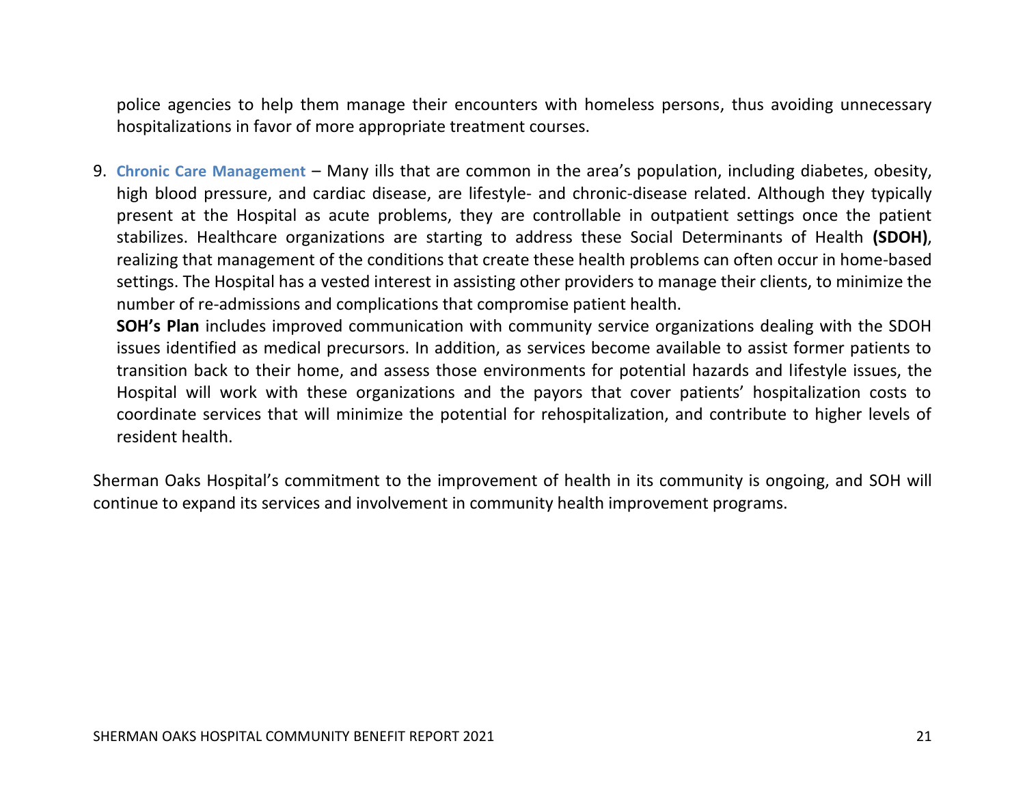police agencies to help them manage their encounters with homeless persons, thus avoiding unnecessary hospitalizations in favor of more appropriate treatment courses.

<span id="page-20-0"></span>9. **Chronic Care Management** – Many ills that are common in the area's population, including diabetes, obesity, high blood pressure, and cardiac disease, are lifestyle- and chronic-disease related. Although they typically present at the Hospital as acute problems, they are controllable in outpatient settings once the patient stabilizes. Healthcare organizations are starting to address these Social Determinants of Health **(SDOH)**, realizing that management of the conditions that create these health problems can often occur in home-based settings. The Hospital has a vested interest in assisting other providers to manage their clients, to minimize the number of re-admissions and complications that compromise patient health.

**SOH's Plan** includes improved communication with community service organizations dealing with the SDOH issues identified as medical precursors. In addition, as services become available to assist former patients to transition back to their home, and assess those environments for potential hazards and lifestyle issues, the Hospital will work with these organizations and the payors that cover patients' hospitalization costs to coordinate services that will minimize the potential for rehospitalization, and contribute to higher levels of resident health.

Sherman Oaks Hospital's commitment to the improvement of health in its community is ongoing, and SOH will continue to expand its services and involvement in community health improvement programs.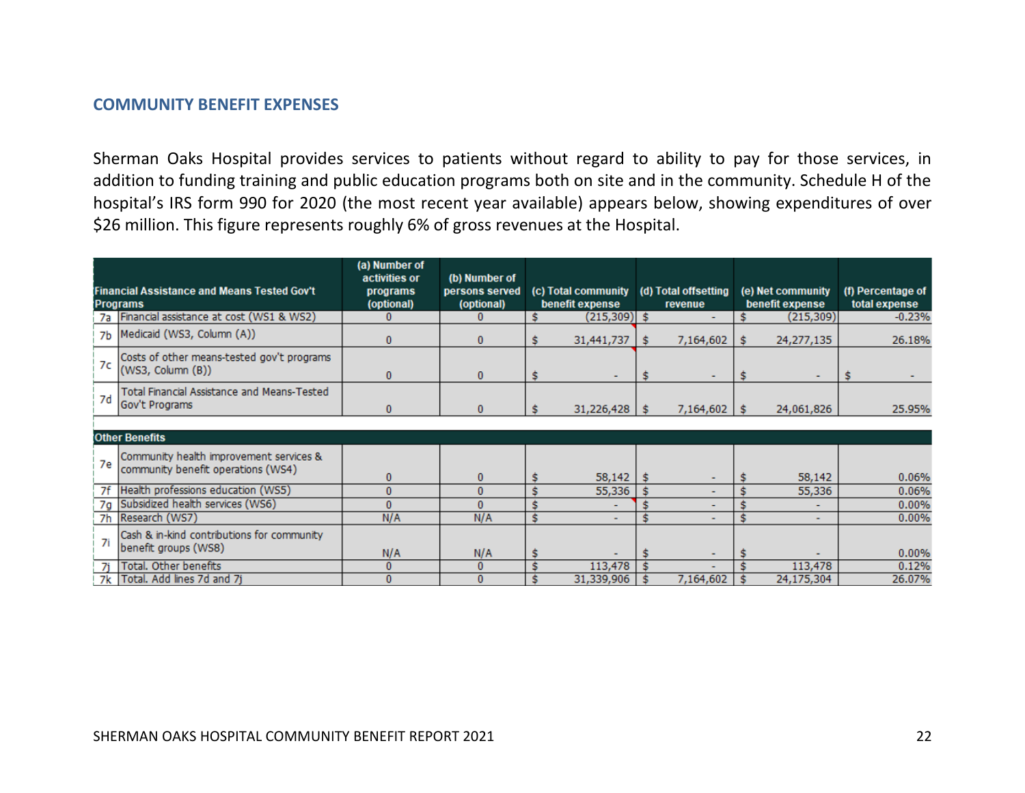#### <span id="page-21-0"></span>**COMMUNITY BENEFIT EXPENSES**

Sherman Oaks Hospital provides services to patients without regard to ability to pay for those services, in addition to funding training and public education programs both on site and in the community. Schedule H of the hospital's IRS form 990 for 2020 (the most recent year available) appears below, showing expenditures of over \$26 million. This figure represents roughly 6% of gross revenues at the Hospital.

| <b>Financial Assistance and Means Tested Gov't</b><br><b>Programs</b> |                                                                               | (a) Number of<br>activities or<br>programs<br>(optional) | (b) Number of<br>persons served<br>(optional) |   | (c) Total community<br>benefit expense |    | (d) Total offsetting<br>revenue |     | (e) Net community<br>benefit expense | (f) Percentage of<br>total expense |
|-----------------------------------------------------------------------|-------------------------------------------------------------------------------|----------------------------------------------------------|-----------------------------------------------|---|----------------------------------------|----|---------------------------------|-----|--------------------------------------|------------------------------------|
|                                                                       | 7a Financial assistance at cost (WS1 & WS2)                                   | 0                                                        | 0                                             |   | $(215,309)$ \$                         |    |                                 |     | (215, 309)                           | $-0.23%$                           |
| 7b                                                                    | Medicaid (WS3, Column (A))                                                    | $\bf{0}$                                                 | 0                                             |   | 31,441,737                             | s  | 7,164,602                       | S   | 24, 277, 135                         | 26.18%                             |
| 7с                                                                    | Costs of other means-tested gov't programs<br>(WS3, Column (B))               | $\bf{0}$                                                 | 0                                             |   |                                        |    |                                 | \$. |                                      |                                    |
| 7d                                                                    | Total Financial Assistance and Means-Tested<br>Gov't Programs                 | 0                                                        | 0                                             |   | $31,226,428$ \$                        |    | $7,164,602$ \$                  |     | 24,061,826                           | 25.95%                             |
| <b>Other Benefits</b>                                                 |                                                                               |                                                          |                                               |   |                                        |    |                                 |     |                                      |                                    |
| 7e                                                                    | Community health improvement services &<br>community benefit operations (WS4) | $\bf{0}$                                                 | 0                                             |   | 58,142                                 | -S |                                 |     | 58,142                               | 0.06%                              |
|                                                                       | Health professions education (WS5)                                            | $\mathbf{0}$                                             | 0                                             |   | 55,336                                 | S  |                                 |     | 55,336                               | 0.06%                              |
| 7a                                                                    | Subsidized health services (WS6)                                              | $\mathbf{0}$                                             | 0                                             |   | $\overline{\phantom{a}}$               |    | $\overline{a}$                  |     | $\overline{\phantom{a}}$             | 0.00%                              |
| 7h                                                                    | Research (WS7)                                                                | N/A                                                      | N/A                                           |   | ٠                                      |    | ۰                               |     |                                      | 0.00%                              |
| 7i                                                                    | Cash & in-kind contributions for community<br>benefit groups (WS8)            | N/A                                                      | N/A                                           |   |                                        |    |                                 |     |                                      | 0.00%                              |
|                                                                       | Total. Other benefits                                                         | $\mathbf{0}$                                             | $\mathbf{0}$                                  | Ś | 113,478                                |    |                                 |     | 113,478                              | 0.12%                              |
|                                                                       | Total. Add lines 7d and 7j                                                    | $\mathbf{0}$                                             | 0                                             |   | 31,339,906                             |    | 7,164,602                       |     | 24,175,304                           | 26.07%                             |